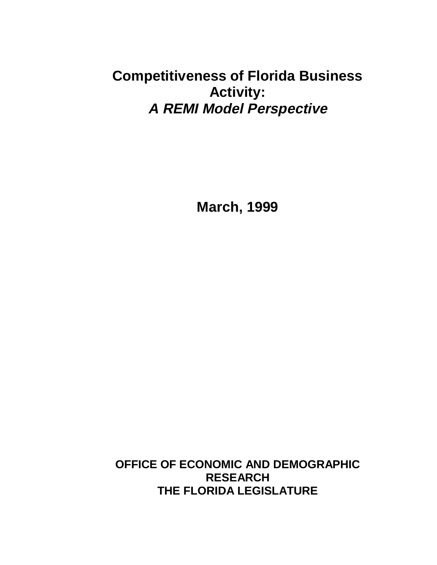# **Competitiveness of Florida Business Activity: A REMI Model Perspective**

**March, 1999**

**OFFICE OF ECONOMIC AND DEMOGRAPHIC RESEARCH THE FLORIDA LEGISLATURE**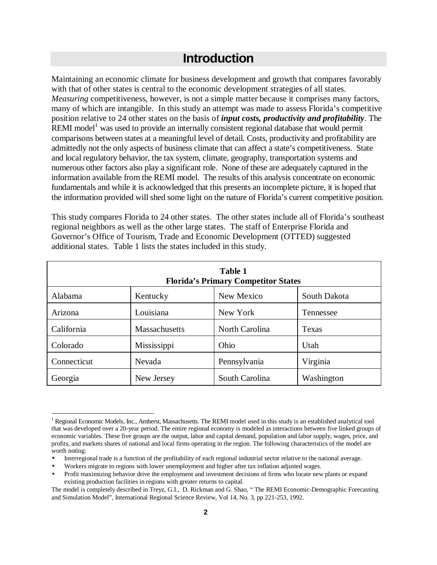# **Introduction**

Maintaining an economic climate for business development and growth that compares favorably with that of other states is central to the economic development strategies of all states. *Measuring* competitiveness, however, is not a simple matter because it comprises many factors, many of which are intangible. In this study an attempt was made to assess Florida's competitive position relative to 24 other states on the basis of *input costs, productivity and profitability*. The REMI model<sup>1</sup> was used to provide an internally consistent regional database that would permit comparisons between states at a meaningful level of detail. Costs, productivity and profitability are admittedly not the only aspects of business climate that can affect a state's competitiveness. State and local regulatory behavior, the tax system, climate, geography, transportation systems and numerous other factors also play a significant role. None of these are adequately captured in the information available from the REMI model. The results of this analysis concentrate on economic fundamentals and while it is acknowledged that this presents an incomplete picture, it is hoped that the information provided will shed some light on the nature of Florida's current competitive position.

This study compares Florida to 24 other states. The other states include all of Florida's southeast regional neighbors as well as the other large states. The staff of Enterprise Florida and Governor's Office of Tourism, Trade and Economic Development (OTTED) suggested additional states. Table 1 lists the states included in this study.

| <b>Table 1</b><br><b>Florida's Primary Competitor States</b> |               |                |              |  |
|--------------------------------------------------------------|---------------|----------------|--------------|--|
| Alabama                                                      | Kentucky      | New Mexico     | South Dakota |  |
| Arizona                                                      | Louisiana     | New York       | Tennessee    |  |
| California                                                   | Massachusetts | North Carolina | Texas        |  |
| Colorado                                                     | Mississippi   | Ohio           | Utah         |  |
| Connecticut                                                  | Nevada        | Pennsylvania   | Virginia     |  |
| Georgia                                                      | New Jersey    | South Carolina | Washington   |  |

 $\overline{a}$ 

<sup>&</sup>lt;sup>1</sup> Regional Economic Models, Inc., Amherst, Massachusetts. The REMI model used in this study is an established analytical tool that was developed over a 20-year period. The entire regional economy is modeled as interactions between five linked groups of economic variables. These five groups are the output, labor and capital demand, population and labor supply, wages, price, and profits, and markets shares of national and local firms operating in the region. The following characteristics of the model are worth noting:

<sup>•</sup> Interregional trade is a function of the profitability of each regional industrial sector relative to the national average.

<sup>•</sup> Workers migrate to regions with lower unemployment and higher after tax inflation adjusted wages.

<sup>•</sup> Profit maximizing behavior drive the employment and investment decisions of firms who locate new plants or expand existing production facilities in regions with greater returns to capital.

The model is completely described in Treyz, G.I., D. Rickman and G. Shao, " The REMI Economic-Demographic Forecasting and Simulation Model", International Regional Science Review, Vol 14, No. 3, pp 221-253, 1992.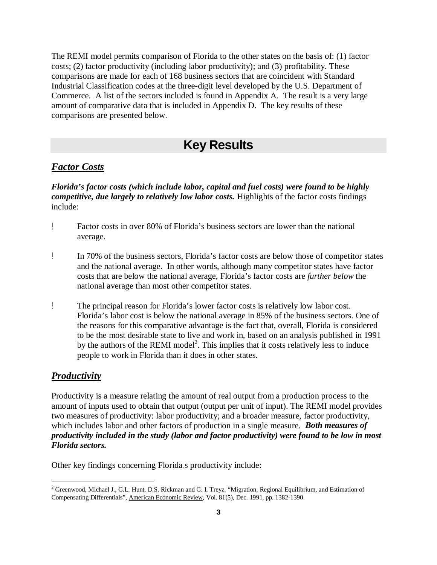The REMI model permits comparison of Florida to the other states on the basis of: (1) factor costs; (2) factor productivity (including labor productivity); and (3) profitability. These comparisons are made for each of 168 business sectors that are coincident with Standard Industrial Classification codes at the three-digit level developed by the U.S. Department of Commerce. A list of the sectors included is found in Appendix A. The result is a very large amount of comparative data that is included in Appendix D. The key results of these comparisons are presented below.

## **Key Results**

### *Factor Costs*

*Florida's factor costs (which include labor, capital and fuel costs) were found to be highly competitive, due largely to relatively low labor costs.* Highlights of the factor costs findings include:

- $\mathbb{L}$ Factor costs in over 80% of Florida's business sectors are lower than the national average.
- $\begin{array}{c} \begin{array}{c} \hline \end{array} \end{array}$ In 70% of the business sectors, Florida's factor costs are below those of competitor states and the national average. In other words, although many competitor states have factor costs that are below the national average, Florida's factor costs are *further below* the national average than most other competitor states.
- Ţ The principal reason for Florida's lower factor costs is relatively low labor cost. Florida's labor cost is below the national average in 85% of the business sectors. One of the reasons for this comparative advantage is the fact that, overall, Florida is considered to be the most desirable state to live and work in, based on an analysis published in 1991 by the authors of the REMI model<sup>2</sup>. This implies that it costs relatively less to induce people to work in Florida than it does in other states.

### *Productivity*

 $\overline{a}$ 

Productivity is a measure relating the amount of real output from a production process to the amount of inputs used to obtain that output (output per unit of input). The REMI model provides two measures of productivity: labor productivity; and a broader measure, factor productivity, which includes labor and other factors of production in a single measure. *Both measures of productivity included in the study (labor and factor productivity) were found to be low in most Florida sectors.*

Other key findings concerning Florida s productivity include:

 $^2$  Greenwood, Michael J., G.L. Hunt, D.S. Rickman and G. I. Treyz. "Migration, Regional Equilibrium, and Estimation of Compensating Differentials", American Economic Review, Vol. 81(5), Dec. 1991, pp. 1382-1390.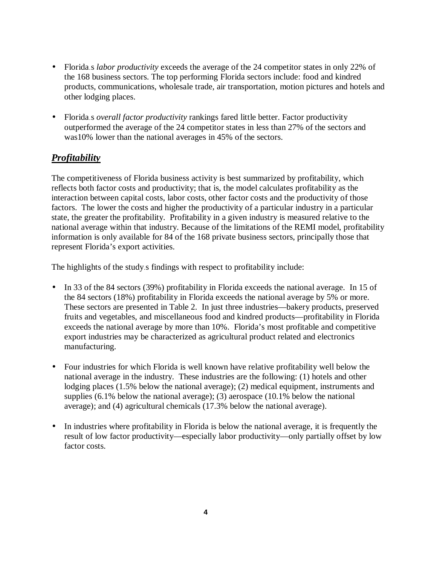- Florida s *labor productivity* exceeds the average of the 24 competitor states in only 22% of the 168 business sectors. The top performing Florida sectors include: food and kindred products, communications, wholesale trade, air transportation, motion pictures and hotels and other lodging places.
- Florida s *overall factor productivity* rankings fared little better. Factor productivity outperformed the average of the 24 competitor states in less than 27% of the sectors and was10% lower than the national averages in 45% of the sectors.

### *Profitability*

The competitiveness of Florida business activity is best summarized by profitability, which reflects both factor costs and productivity; that is, the model calculates profitability as the interaction between capital costs, labor costs, other factor costs and the productivity of those factors. The lower the costs and higher the productivity of a particular industry in a particular state, the greater the profitability. Profitability in a given industry is measured relative to the national average within that industry. Because of the limitations of the REMI model, profitability information is only available for 84 of the 168 private business sectors, principally those that represent Florida's export activities.

The highlights of the study s findings with respect to profitability include:

- In 33 of the 84 sectors (39%) profitability in Florida exceeds the national average. In 15 of the 84 sectors (18%) profitability in Florida exceeds the national average by 5% or more. These sectors are presented in Table 2. In just three industries—bakery products, preserved fruits and vegetables, and miscellaneous food and kindred products—profitability in Florida exceeds the national average by more than 10%. Florida's most profitable and competitive export industries may be characterized as agricultural product related and electronics manufacturing.
- Four industries for which Florida is well known have relative profitability well below the national average in the industry. These industries are the following: (1) hotels and other lodging places (1.5% below the national average); (2) medical equipment, instruments and supplies (6.1% below the national average); (3) aerospace (10.1% below the national average); and (4) agricultural chemicals (17.3% below the national average).
- In industries where profitability in Florida is below the national average, it is frequently the result of low factor productivity—especially labor productivity—only partially offset by low factor costs.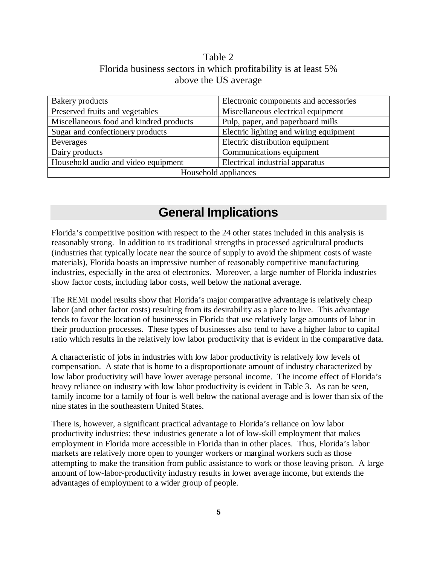### Table 2 Florida business sectors in which profitability is at least 5% above the US average

| Bakery products                         | Electronic components and accessories  |  |  |  |
|-----------------------------------------|----------------------------------------|--|--|--|
| Preserved fruits and vegetables         | Miscellaneous electrical equipment     |  |  |  |
| Miscellaneous food and kindred products | Pulp, paper, and paperboard mills      |  |  |  |
| Sugar and confectionery products        | Electric lighting and wiring equipment |  |  |  |
| <b>Beverages</b>                        | Electric distribution equipment        |  |  |  |
| Dairy products                          | Communications equipment               |  |  |  |
| Household audio and video equipment     | Electrical industrial apparatus        |  |  |  |
| Household appliances                    |                                        |  |  |  |

# **General Implications**

Florida's competitive position with respect to the 24 other states included in this analysis is reasonably strong. In addition to its traditional strengths in processed agricultural products (industries that typically locate near the source of supply to avoid the shipment costs of waste materials), Florida boasts an impressive number of reasonably competitive manufacturing industries, especially in the area of electronics. Moreover, a large number of Florida industries show factor costs, including labor costs, well below the national average.

The REMI model results show that Florida's major comparative advantage is relatively cheap labor (and other factor costs) resulting from its desirability as a place to live. This advantage tends to favor the location of businesses in Florida that use relatively large amounts of labor in their production processes. These types of businesses also tend to have a higher labor to capital ratio which results in the relatively low labor productivity that is evident in the comparative data.

A characteristic of jobs in industries with low labor productivity is relatively low levels of compensation. A state that is home to a disproportionate amount of industry characterized by low labor productivity will have lower average personal income. The income effect of Florida's heavy reliance on industry with low labor productivity is evident in Table 3. As can be seen, family income for a family of four is well below the national average and is lower than six of the nine states in the southeastern United States.

There is, however, a significant practical advantage to Florida's reliance on low labor productivity industries: these industries generate a lot of low-skill employment that makes employment in Florida more accessible in Florida than in other places. Thus, Florida's labor markets are relatively more open to younger workers or marginal workers such as those attempting to make the transition from public assistance to work or those leaving prison. A large amount of low-labor-productivity industry results in lower average income, but extends the advantages of employment to a wider group of people.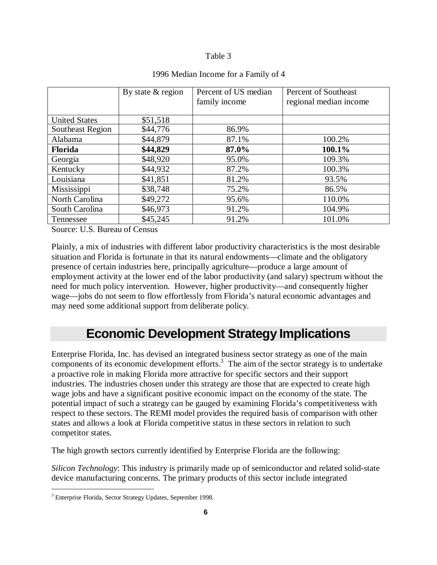### Table 3

|                      | By state $&$ region | Percent of US median | Percent of Southeast   |
|----------------------|---------------------|----------------------|------------------------|
|                      |                     | family income        | regional median income |
|                      |                     |                      |                        |
| <b>United States</b> | \$51,518            |                      |                        |
| Southeast Region     | \$44,776            | 86.9%                |                        |
| Alabama              | \$44,879            | 87.1%                | 100.2%                 |
| <b>Florida</b>       | \$44,829            | 87.0%                | 100.1%                 |
| Georgia              | \$48,920            | 95.0%                | 109.3%                 |
| Kentucky             | \$44,932            | 87.2%                | 100.3%                 |
| Louisiana            | \$41,851            | 81.2%                | 93.5%                  |
| Mississippi          | \$38,748            | 75.2%                | 86.5%                  |
| North Carolina       | \$49,272            | 95.6%                | 110.0%                 |
| South Carolina       | \$46,973            | 91.2%                | 104.9%                 |
| Tennessee            | \$45,245            | 91.2%                | 101.0%                 |

### 1996 Median Income for a Family of 4

Source: U.S. Bureau of Census

Plainly, a mix of industries with different labor productivity characteristics is the most desirable situation and Florida is fortunate in that its natural endowments—climate and the obligatory presence of certain industries here, principally agriculture—produce a large amount of employment activity at the lower end of the labor productivity (and salary) spectrum without the need for much policy intervention. However, higher productivity—and consequently higher wage—jobs do not seem to flow effortlessly from Florida's natural economic advantages and may need some additional support from deliberate policy.

# **Economic Development Strategy Implications**

Enterprise Florida, Inc. has devised an integrated business sector strategy as one of the main components of its economic development efforts. $3$  The aim of the sector strategy is to undertake a proactive role in making Florida more attractive for specific sectors and their support industries. The industries chosen under this strategy are those that are expected to create high wage jobs and have a significant positive economic impact on the economy of the state. The potential impact of such a strategy can be gauged by examining Florida's competitiveness with respect to these sectors. The REMI model provides the required basis of comparison with other states and allows a look at Florida competitive status in these sectors in relation to such competitor states.

The high growth sectors currently identified by Enterprise Florida are the following:

*Silicon Technology*: This industry is primarily made up of semiconductor and related solid-state device manufacturing concerns. The primary products of this sector include integrated

 $\overline{a}$ 

<sup>&</sup>lt;sup>3</sup> Enterprise Florida, Sector Strategy Updates, September 1998.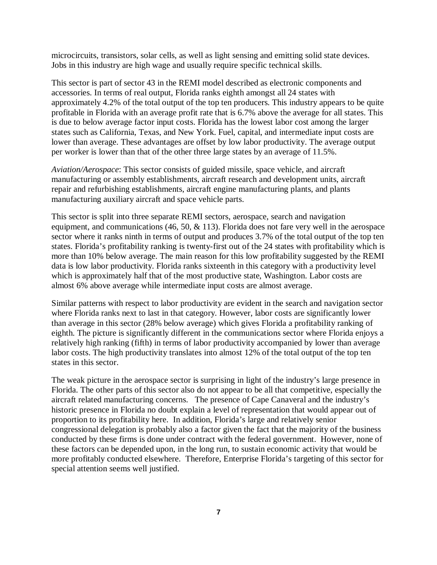microcircuits, transistors, solar cells, as well as light sensing and emitting solid state devices. Jobs in this industry are high wage and usually require specific technical skills.

This sector is part of sector 43 in the REMI model described as electronic components and accessories. In terms of real output, Florida ranks eighth amongst all 24 states with approximately 4.2% of the total output of the top ten producers. This industry appears to be quite profitable in Florida with an average profit rate that is 6.7% above the average for all states. This is due to below average factor input costs. Florida has the lowest labor cost among the larger states such as California, Texas, and New York. Fuel, capital, and intermediate input costs are lower than average. These advantages are offset by low labor productivity. The average output per worker is lower than that of the other three large states by an average of 11.5%.

*Aviation/Aerospace*: This sector consists of guided missile, space vehicle, and aircraft manufacturing or assembly establishments, aircraft research and development units, aircraft repair and refurbishing establishments, aircraft engine manufacturing plants, and plants manufacturing auxiliary aircraft and space vehicle parts.

This sector is split into three separate REMI sectors, aerospace, search and navigation equipment, and communications  $(46, 50, \& 113)$ . Florida does not fare very well in the aerospace sector where it ranks ninth in terms of output and produces 3.7% of the total output of the top ten states. Florida's profitability ranking is twenty-first out of the 24 states with profitability which is more than 10% below average. The main reason for this low profitability suggested by the REMI data is low labor productivity. Florida ranks sixteenth in this category with a productivity level which is approximately half that of the most productive state, Washington. Labor costs are almost 6% above average while intermediate input costs are almost average.

Similar patterns with respect to labor productivity are evident in the search and navigation sector where Florida ranks next to last in that category. However, labor costs are significantly lower than average in this sector (28% below average) which gives Florida a profitability ranking of eighth. The picture is significantly different in the communications sector where Florida enjoys a relatively high ranking (fifth) in terms of labor productivity accompanied by lower than average labor costs. The high productivity translates into almost 12% of the total output of the top ten states in this sector.

The weak picture in the aerospace sector is surprising in light of the industry's large presence in Florida. The other parts of this sector also do not appear to be all that competitive, especially the aircraft related manufacturing concerns. The presence of Cape Canaveral and the industry's historic presence in Florida no doubt explain a level of representation that would appear out of proportion to its profitability here. In addition, Florida's large and relatively senior congressional delegation is probably also a factor given the fact that the majority of the business conducted by these firms is done under contract with the federal government. However, none of these factors can be depended upon, in the long run, to sustain economic activity that would be more profitably conducted elsewhere. Therefore, Enterprise Florida's targeting of this sector for special attention seems well justified.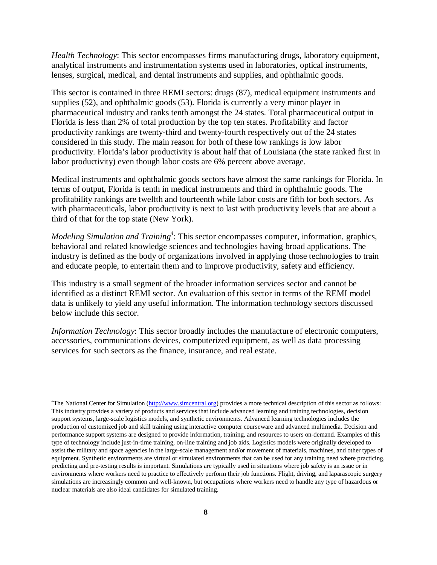*Health Technology*: This sector encompasses firms manufacturing drugs, laboratory equipment, analytical instruments and instrumentation systems used in laboratories, optical instruments, lenses, surgical, medical, and dental instruments and supplies, and ophthalmic goods.

This sector is contained in three REMI sectors: drugs (87), medical equipment instruments and supplies (52), and ophthalmic goods (53). Florida is currently a very minor player in pharmaceutical industry and ranks tenth amongst the 24 states. Total pharmaceutical output in Florida is less than 2% of total production by the top ten states. Profitability and factor productivity rankings are twenty-third and twenty-fourth respectively out of the 24 states considered in this study. The main reason for both of these low rankings is low labor productivity. Florida's labor productivity is about half that of Louisiana (the state ranked first in labor productivity) even though labor costs are 6% percent above average.

Medical instruments and ophthalmic goods sectors have almost the same rankings for Florida. In terms of output, Florida is tenth in medical instruments and third in ophthalmic goods. The profitability rankings are twelfth and fourteenth while labor costs are fifth for both sectors. As with pharmaceuticals, labor productivity is next to last with productivity levels that are about a third of that for the top state (New York).

*Modeling Simulation and Training*<sup>4</sup>: This sector encompasses computer, information, graphics, behavioral and related knowledge sciences and technologies having broad applications. The industry is defined as the body of organizations involved in applying those technologies to train and educate people, to entertain them and to improve productivity, safety and efficiency.

This industry is a small segment of the broader information services sector and cannot be identified as a distinct REMI sector. An evaluation of this sector in terms of the REMI model data is unlikely to yield any useful information. The information technology sectors discussed below include this sector.

*Information Technology*: This sector broadly includes the manufacture of electronic computers, accessories, communications devices, computerized equipment, as well as data processing services for such sectors as the finance, insurance, and real estate.

 $\overline{a}$ 

<sup>&</sup>lt;sup>4</sup>The National Center for Simulation (http://www.simcentral.org) provides a more technical description of this sector as follows: This industry provides a variety of products and services that include advanced learning and training technologies, decision support systems, large-scale logistics models, and synthetic environments. Advanced learning technologies includes the production of customized job and skill training using interactive computer courseware and advanced multimedia. Decision and performance support systems are designed to provide information, training, and resources to users on-demand. Examples of this type of technology include just-in-time training, on-line training and job aids. Logistics models were originally developed to assist the military and space agencies in the large-scale management and/or movement of materials, machines, and other types of equipment. Synthetic environments are virtual or simulated environments that can be used for any training need where practicing, predicting and pre-testing results is important. Simulations are typically used in situations where job safety is an issue or in environments where workers need to practice to effectively perform their job functions. Flight, driving, and laparascopic surgery simulations are increasingly common and well-known, but occupations where workers need to handle any type of hazardous or nuclear materials are also ideal candidates for simulated training.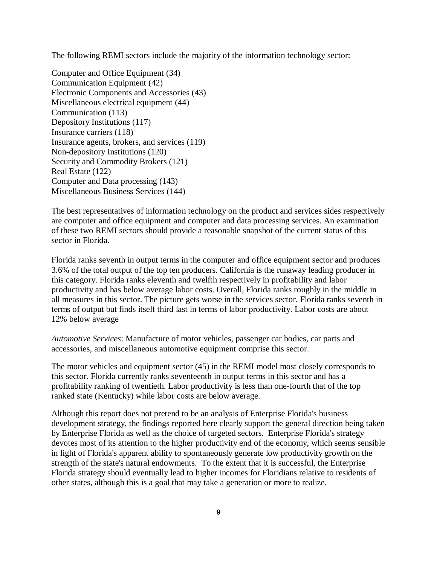The following REMI sectors include the majority of the information technology sector:

Computer and Office Equipment (34) Communication Equipment (42) Electronic Components and Accessories (43) Miscellaneous electrical equipment (44) Communication (113) Depository Institutions (117) Insurance carriers (118) Insurance agents, brokers, and services (119) Non-depository Institutions (120) Security and Commodity Brokers (121) Real Estate (122) Computer and Data processing (143) Miscellaneous Business Services (144)

The best representatives of information technology on the product and services sides respectively are computer and office equipment and computer and data processing services. An examination of these two REMI sectors should provide a reasonable snapshot of the current status of this sector in Florida.

Florida ranks seventh in output terms in the computer and office equipment sector and produces 3.6% of the total output of the top ten producers. California is the runaway leading producer in this category. Florida ranks eleventh and twelfth respectively in profitability and labor productivity and has below average labor costs. Overall, Florida ranks roughly in the middle in all measures in this sector. The picture gets worse in the services sector. Florida ranks seventh in terms of output but finds itself third last in terms of labor productivity. Labor costs are about 12% below average

*Automotive Services*: Manufacture of motor vehicles, passenger car bodies, car parts and accessories, and miscellaneous automotive equipment comprise this sector.

The motor vehicles and equipment sector (45) in the REMI model most closely corresponds to this sector. Florida currently ranks seventeenth in output terms in this sector and has a profitability ranking of twentieth. Labor productivity is less than one-fourth that of the top ranked state (Kentucky) while labor costs are below average.

Although this report does not pretend to be an analysis of Enterprise Florida's business development strategy, the findings reported here clearly support the general direction being taken by Enterprise Florida as well as the choice of targeted sectors. Enterprise Florida's strategy devotes most of its attention to the higher productivity end of the economy, which seems sensible in light of Florida's apparent ability to spontaneously generate low productivity growth on the strength of the state's natural endowments. To the extent that it is successful, the Enterprise Florida strategy should eventually lead to higher incomes for Floridians relative to residents of other states, although this is a goal that may take a generation or more to realize.